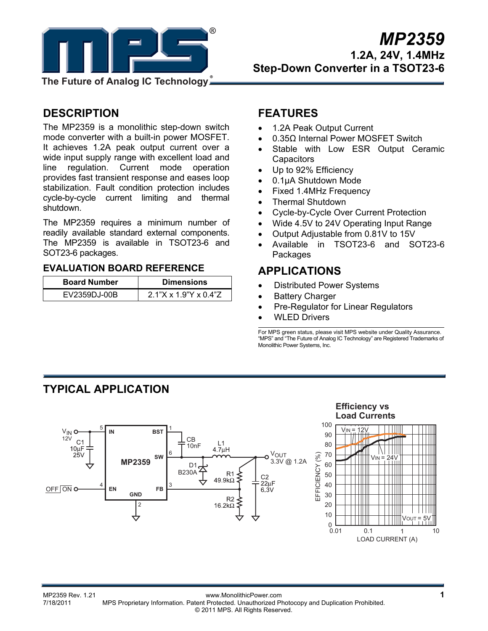

**The Future of Analog IC Technology**

## **DESCRIPTION**

The MP2359 is a monolithic step-down switch mode converter with a built-in power MOSFET. It achieves 1.2A peak output current over a wide input supply range with excellent load and line regulation. Current mode operation provides fast transient response and eases loop stabilization. Fault condition protection includes cycle-by-cycle current limiting and thermal shutdown.

The MP2359 requires a minimum number of readily available standard external components. The MP2359 is available in TSOT23-6 and SOT23-6 packages.

### **EVALUATION BOARD REFERENCE**

| <b>Board Number</b> | <b>Dimensions</b>        |
|---------------------|--------------------------|
| EV2359DJ-00B        | $2.1$ "X x 1.9"Y x 0.4"Z |

## **FEATURES**

- 1.2A Peak Output Current
- 0.35Ω Internal Power MOSFET Switch
- Stable with Low ESR Output Ceramic **Capacitors**
- Up to 92% Efficiency
- 0.1μA Shutdown Mode
- Fixed 1.4MHz Frequency
- Thermal Shutdown
- Cycle-by-Cycle Over Current Protection
- Wide 4.5V to 24V Operating Input Range
- Output Adjustable from 0.81V to 15V
- Available in TSOT23-6 and SOT23-6 Packages

## **APPLICATIONS**

- Distributed Power Systems
- Battery Charger
- Pre-Regulator for Linear Regulators
- **WLED Drivers**

For MPS green status, please visit MPS website under Quality Assurance. "MPS" and "The Future of Analog IC Technology" are Registered Trademarks of Monolithic Power Systems, Inc.

## **TYPICAL APPLICATION**



#### **Efficiency vs Load Currents**



MP2359 Rev. 1.21 www.MonolithicPower.com<br>7/18/2011 MPS Proprietary Information Patent Protected Unauthorized Photocopy and Duplication Prohibited MPS Proprietary Information. Patent Protected. Unauthorized Photocopy and Duplication Prohibited. © 2011 MPS. All Rights Reserved.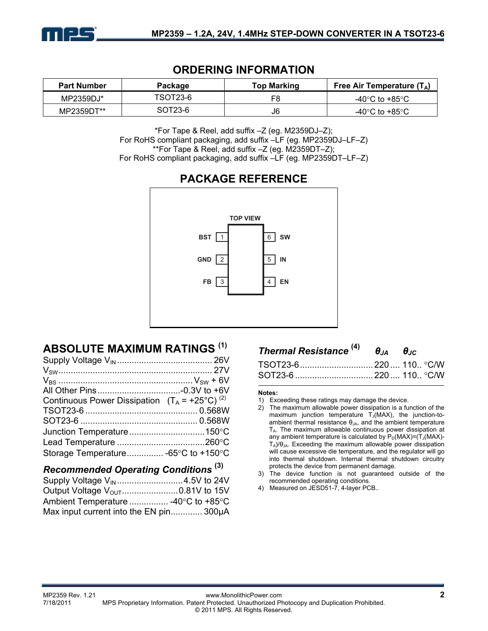

## **ORDERING INFORMATION**

| <b>Part Number</b> | Package  | Top Marking | Free Air Temperature $(T_A)$ |
|--------------------|----------|-------------|------------------------------|
| MP2359DJ*          | TSOT23-6 | F8          | -40°C to +85°C               |
| MP2359DT**         | SOT23-6  | J6          | -40°C to +85°C               |

\*For Tape & Reel, add suffix –Z (eg. M2359DJ–Z); For RoHS compliant packaging, add suffix –LF (eg. MP2359DJ–LF–Z) \*\*For Tape & Reel, add suffix –Z (eg. M2359DT–Z); For RoHS compliant packaging, add suffix –LF (eg. MP2359DT–LF–Z)

## **PACKAGE REFERENCE**



## **ABSOLUTE MAXIMUM RATINGS (1)**

| Continuous Power Dissipation $(T_A = +25^{\circ}C)^{(2)}$ |  |
|-----------------------------------------------------------|--|
|                                                           |  |
|                                                           |  |
|                                                           |  |
|                                                           |  |
| Storage Temperature -65°C to +150°C                       |  |
|                                                           |  |

## *Recommended Operating Conditions* **(3)**

| Ambient Temperature  -40°C to +85°C    |  |
|----------------------------------------|--|
| Max input current into the EN pin300µA |  |

| Thermal Resistance $^{(4)}$ $\theta_{JA}$ $\theta_{JC}$ |  |
|---------------------------------------------------------|--|
|                                                         |  |
|                                                         |  |

#### **Notes:**

- 1) Exceeding these ratings may damage the device.
- 2) The maximum allowable power dissipation is a function of the maximum junction temperature  $T_J(MAX)$ , the junction-toambient thermal resistance  $\theta_{JA}$ , and the ambient temperature  $T_A$ . The maximum allowable continuous power dissipation at any ambient temperature is calculated by  $P_D(MAX)=(T_J(MAX)-T_J(MAX)-T_J(MAX)-T_J(MAX)-T_J(MAX)$  $T_A$ )/ $\theta_{JA}$ . Exceeding the maximum allowable power dissipation will cause excessive die temperature, and the regulator will go into thermal shutdown. Internal thermal shutdown circuitry protects the device from permanent damage.
- 3) The device function is not guaranteed outside of the recommended operating conditions.
- 4) Measured on JESD51-7, 4-layer PCB..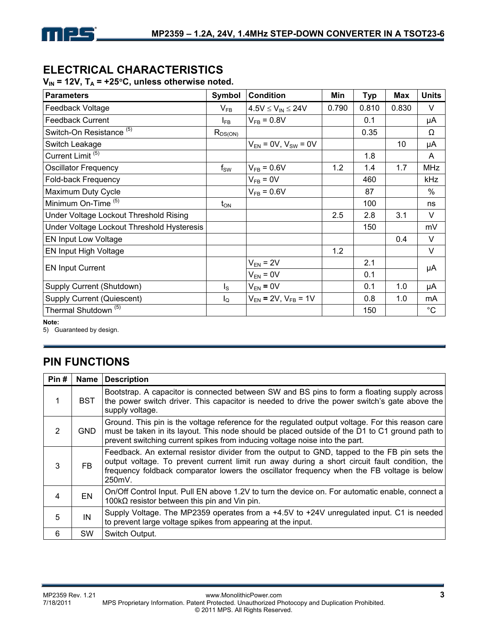## **ELECTRICAL CHARACTERISTICS**

 $V_{IN}$  = 12V,  $T_A$  = +25°C, unless otherwise noted.

| <b>Parameters</b>                          | Symbol           | <b>Condition</b>             | Min   | <b>Typ</b> | <b>Max</b> | <b>Units</b> |
|--------------------------------------------|------------------|------------------------------|-------|------------|------------|--------------|
| Feedback Voltage                           | $V_{FB}$         | $4.5V \leq V_{IN} \leq 24V$  | 0.790 | 0.810      | 0.830      | $\vee$       |
| <b>Feedback Current</b>                    | $I_{FB}$         | $V_{FB} = 0.8V$              |       | 0.1        |            | μA           |
| Switch-On Resistance <sup>(5)</sup>        | $R_{DS(ON)}$     |                              |       | 0.35       |            | Ω            |
| Switch Leakage                             |                  | $V_{EN}$ = 0V, $V_{SW}$ = 0V |       |            | 10         | μA           |
| Current Limit <sup>(5)</sup>               |                  |                              |       | 1.8        |            | A            |
| <b>Oscillator Frequency</b>                | $f_{SW}$         | $V_{FB} = 0.6 V$             | 1.2   | 1.4        | 1.7        | <b>MHz</b>   |
| Fold-back Frequency                        |                  | $V_{FB} = 0V$                |       | 460        |            | kHz          |
| Maximum Duty Cycle                         |                  | $V_{FB} = 0.6V$              |       | 87         |            | $\%$         |
| Minimum On-Time <sup>(5)</sup>             | $t_{ON}$         |                              |       | 100        |            | ns           |
| Under Voltage Lockout Threshold Rising     |                  |                              | 2.5   | 2.8        | 3.1        | V            |
| Under Voltage Lockout Threshold Hysteresis |                  |                              |       | 150        |            | mV           |
| <b>EN Input Low Voltage</b>                |                  |                              |       |            | 0.4        | V            |
| EN Input High Voltage                      |                  |                              | 1.2   |            |            | $\vee$       |
| <b>EN Input Current</b>                    |                  | $V_{EN} = 2V$                |       | 2.1        |            | μA           |
|                                            |                  | $V_{EN} = 0V$                |       | 0.1        |            |              |
| Supply Current (Shutdown)                  | $I_{\rm S}$      | $V_{EN} = 0V$                |       | 0.1        | 1.0        | μA           |
| Supply Current (Quiescent)                 | $I_{\mathsf{Q}}$ | $V_{EN}$ = 2V, $V_{FB}$ = 1V |       | 0.8        | 1.0        | mA           |
| Thermal Shutdown <sup>(5)</sup>            |                  |                              |       | 150        |            | $^{\circ}$ C |

**Note:** 

5) Guaranteed by design.

## **PIN FUNCTIONS**

| Pin#           | Name       | <b>Description</b>                                                                                                                                                                                                                                                                                    |
|----------------|------------|-------------------------------------------------------------------------------------------------------------------------------------------------------------------------------------------------------------------------------------------------------------------------------------------------------|
| 1              | BST.       | Bootstrap. A capacitor is connected between SW and BS pins to form a floating supply across<br>the power switch driver. This capacitor is needed to drive the power switch's gate above the<br>supply voltage.                                                                                        |
| $\overline{2}$ | <b>GND</b> | Ground. This pin is the voltage reference for the regulated output voltage. For this reason care<br>must be taken in its layout. This node should be placed outside of the D1 to C1 ground path to<br>prevent switching current spikes from inducing voltage noise into the part.                     |
| 3              | FB.        | Feedback. An external resistor divider from the output to GND, tapped to the FB pin sets the<br>output voltage. To prevent current limit run away during a short circuit fault condition, the<br>frequency foldback comparator lowers the oscillator frequency when the FB voltage is below<br>250mV. |
| 4              | <b>EN</b>  | On/Off Control Input. Pull EN above 1.2V to turn the device on. For automatic enable, connect a<br>100 $k\Omega$ resistor between this pin and Vin pin.                                                                                                                                               |
| 5              | IN         | Supply Voltage. The MP2359 operates from a +4.5V to +24V unregulated input. C1 is needed<br>to prevent large voltage spikes from appearing at the input.                                                                                                                                              |
| 6              | <b>SW</b>  | Switch Output.                                                                                                                                                                                                                                                                                        |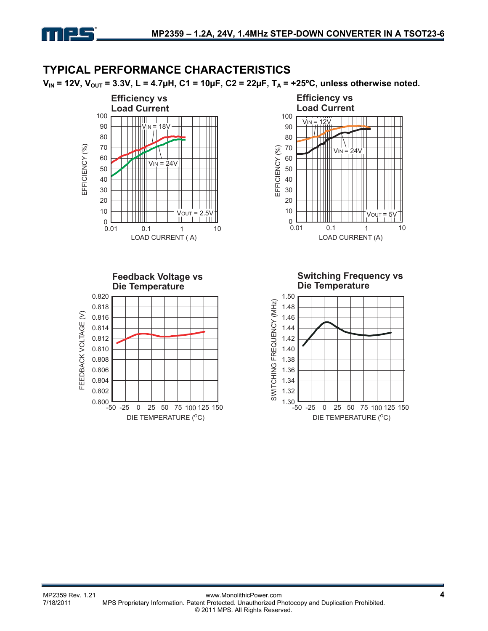

## **TYPICAL PERFORMANCE CHARACTERISTICS**

 $V_{IN}$  = 12V,  $V_{OUT}$  = 3.3V, L = 4.7µH, C1 = 10µF, C2 = 22µF, T<sub>A</sub> = +25<sup>o</sup>C, unless otherwise noted.

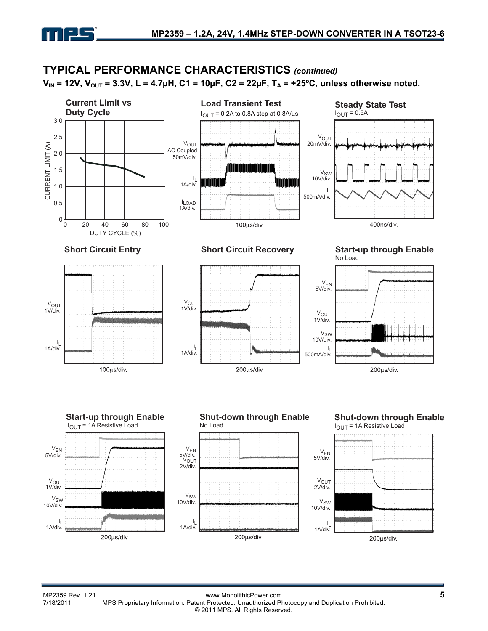

#### **TYPICAL PERFORMANCE CHARACTERISTICS** *(continued)*  $V_{IN}$  = 12V,  $V_{OUT}$  = 3.3V, L = 4.7µH, C1 = 10µF, C2 = 22µF, T<sub>A</sub> = +25°C, unless otherwise noted. **Current Limit vs Load Transient Test Steady State Test Duty Cycle**  $I_{\text{OUT}}$  = 0.2A to 0.8A step at 0.8A/ $\mu$ s  $I<sub>OUT</sub> = 0.5A$ 3.0 V<sub>OUT</sub> 2.5 V<sub>OUT</sub> 20mV/div. CURRENT LIMIT (A) CURRENT LIMIT (A) AC Coupled 2.0 50mV/div. <u> Lithar Maria Maria III ann an t-</u> 1.5 V<sub>SW</sub><br>.10V/div ا<br>.1A/div 1.0 ا<br>.500mA/div 0.5 I LOAD 1A/div. 0 0 20 40 60 80 100100µs/div 400ns/div. DUTY CYCLE (%) **Short Circuit Entry Short Circuit Recovery Start-up through Enable** No Load V<sub>EN</sub><br>.5V/div VOUT  $V_{\text{OUT}}$ 1V/div. 1V/div. V<sub>OUT</sub> 1V/div. V<sub>SW</sub> 10V/div. I L 1A/div. ا<br>.1A/div ا<br>.500mA/div 100µs/div. 200µs/div. 200µs/div. **Start-up through Enable Shut-down through Enable Shut-down through Enable** IOUT = 1A Resistive Load No Load  $I<sub>OUT</sub> = 1A$  Resistive Load VEN V<sub>EN</sub><br>.5V/div VEN 5V/div. 5V/div. V<sub>OUT</sub> 2V/div. V<sub>OUT</sub> V<sub>OUT</sub><br>1V/div. 2V/div. VSW  $V_{\text{SW}}$ 10V/div. VSW 10V/div. 10V/div. I L I L ا<br>.1A/div 1A/div. 1A/div.

200µs/div.

200us/div.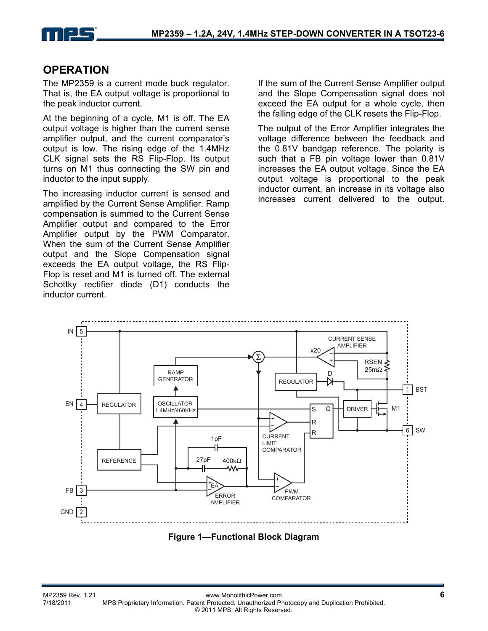

## **OPERATION**

The MP2359 is a current mode buck regulator. That is, the EA output voltage is proportional to the peak inductor current.

At the beginning of a cycle, M1 is off. The EA output voltage is higher than the current sense amplifier output, and the current comparator's output is low. The rising edge of the 1.4MHz CLK signal sets the RS Flip-Flop. Its output turns on M1 thus connecting the SW pin and inductor to the input supply.

The increasing inductor current is sensed and amplified by the Current Sense Amplifier. Ramp compensation is summed to the Current Sense Amplifier output and compared to the Error Amplifier output by the PWM Comparator. When the sum of the Current Sense Amplifier output and the Slope Compensation signal exceeds the EA output voltage, the RS Flip-Flop is reset and M1 is turned off. The external Schottky rectifier diode (D1) conducts the inductor current.

If the sum of the Current Sense Amplifier output and the Slope Compensation signal does not exceed the EA output for a whole cycle, then the falling edge of the CLK resets the Flip-Flop.

The output of the Error Amplifier integrates the voltage difference between the feedback and the 0.81V bandgap reference. The polarity is such that a FB pin voltage lower than 0.81V increases the EA output voltage. Since the EA output voltage is proportional to the peak inductor current, an increase in its voltage also increases current delivered to the output.



**Figure 1—Functional Block Diagram**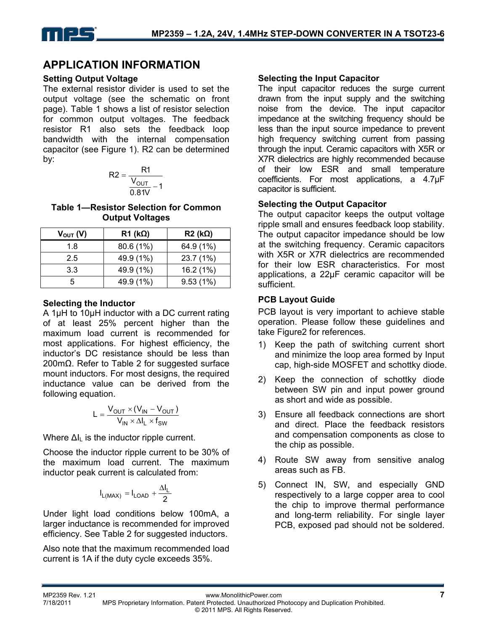## **APPLICATION INFORMATION**

#### **Setting Output Voltage**

The external resistor divider is used to set the output voltage (see the schematic on front page). Table 1 shows a list of resistor selection for common output voltages. The feedback resistor R1 also sets the feedback loop bandwidth with the internal compensation capacitor (see Figure 1). R2 can be determined by:

$$
R2 = \frac{R1}{\frac{V_{OUT}}{0.81V} - 1}
$$

**Table 1—Resistor Selection for Common Output Voltages** 

| $V_{\text{OUT}}(V)$ | $R1$ (k $\Omega$ ) | $R2$ (k $\Omega$ ) |
|---------------------|--------------------|--------------------|
| 1.8                 | 80.6 (1%)          | 64.9 (1%)          |
| 2.5                 | 49.9 (1%)          | 23.7 (1%)          |
| 3.3                 | 49.9 (1%)          | 16.2 (1%)          |
| 5                   | 49.9 (1%)          | 9.53(1%)           |

#### **Selecting the Inductor**

A 1µH to 10µH inductor with a DC current rating of at least 25% percent higher than the maximum load current is recommended for most applications. For highest efficiency, the inductor's DC resistance should be less than 200mΩ. Refer to Table 2 for suggested surface mount inductors. For most designs, the required inductance value can be derived from the following equation.

$$
L = \frac{V_{OUT} \times (V_{IN} - V_{OUT})}{V_{IN} \times \Delta I_L \times f_{SW}}
$$

Where  $\Delta I_L$  is the inductor ripple current.

Choose the inductor ripple current to be 30% of the maximum load current. The maximum inductor peak current is calculated from:

$$
I_{L(MAX)}=I_{LOAD}+\frac{\Delta I_L}{2}
$$

Under light load conditions below 100mA, a larger inductance is recommended for improved efficiency. See Table 2 for suggested inductors.

Also note that the maximum recommended load current is 1A if the duty cycle exceeds 35%.

#### **Selecting the Input Capacitor**

The input capacitor reduces the surge current drawn from the input supply and the switching noise from the device. The input capacitor impedance at the switching frequency should be less than the input source impedance to prevent high frequency switching current from passing through the input. Ceramic capacitors with X5R or X7R dielectrics are highly recommended because of their low ESR and small temperature coefficients. For most applications, a 4.7µF capacitor is sufficient.

#### **Selecting the Output Capacitor**

The output capacitor keeps the output voltage ripple small and ensures feedback loop stability. The output capacitor impedance should be low at the switching frequency. Ceramic capacitors with X5R or X7R dielectrics are recommended for their low ESR characteristics. For most applications, a 22µF ceramic capacitor will be sufficient.

#### **PCB Layout Guide**

PCB layout is very important to achieve stable operation. Please follow these guidelines and take Figure2 for references.

- 1) Keep the path of switching current short and minimize the loop area formed by Input cap, high-side MOSFET and schottky diode.
- 2) Keep the connection of schottky diode between SW pin and input power ground as short and wide as possible.
- 3) Ensure all feedback connections are short and direct. Place the feedback resistors and compensation components as close to the chip as possible.
- 4) Route SW away from sensitive analog areas such as FB.
- 5) Connect IN, SW, and especially GND respectively to a large copper area to cool the chip to improve thermal performance and long-term reliability. For single layer PCB, exposed pad should not be soldered.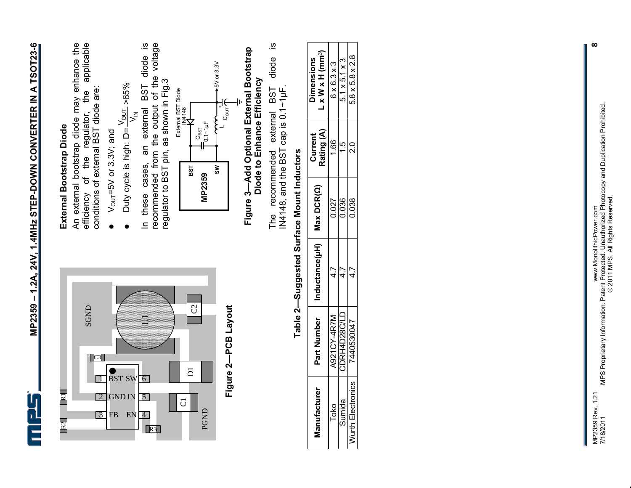



**Figure 2—PCB Layout**  Figure 2-PCB Layout

## **External Bootstrap Diode**  External Bootstrap Diode

An external bootstrap diode may enhance the applicable efficiency of the regulator, the applicable An external bootstrap diode may enhance the conditions of external BST diode are: the conditions of external BST diode are: of the regulator, efficiency

- $V_{\text{out}} = 5V$  or 3.3V; and  $V_{\text{out}}$ =5V or 3.3V; and  $\bullet$
- $\frac{V_{\text{OUT}}}{V}$  >65%  $\vec{\xi}$  $\bullet$  Duty cycle is high: D=  $\bullet$

<u>ര</u> In these cases, an external BST diode is recommended from the output of the voltage<br>regulator to BST pin, as shown in Fig.3 recommended from the output of the voltage diode regulator to BST pin, as shown in Fig.3 **BST** cases, an external these  $\equiv$ 



# **Figure 3—Add Optional External Bootstrap**  Figure 3—Add Optional External Bootstrap<br>Diode to Enhance Efficiency **Diode to Enhance Efficiency**

<u>ഗ</u> The recommended external BST diode is diode IN4148, and the BST cap is  $0.1 \sim 1$ µF. The recommended external BST<br>IN4148, and the BST cap is 0.1~1µF.

| $\vdots$                                                                                    |
|---------------------------------------------------------------------------------------------|
|                                                                                             |
| ֖֖֖֖֖ׅ֖ׅ֖ׅ֖ׅ֖֧֖֧֖֧֧֪֪֪֧֧֧֪֪֪֪ׅ֚֚֚֚֚֚֚֚֚֚֚֚֚֚֚֚֚֚֚֚֚֚֚֚֚֬֝֝֝֝֓֞֡֝֓֞֞֝֓֞֝֬֞֞֝֞֞֝֬֝֞<br>ı<br>l |
|                                                                                             |

|                   | Part Number | Inductance(µH)   Max DCR(Q) |       | Rating (A)<br>Current | $L \times W \times H$ (mm <sup>3</sup> )<br><b>Dimensions</b> |
|-------------------|-------------|-----------------------------|-------|-----------------------|---------------------------------------------------------------|
| <b>N21CY-4R7M</b> |             |                             | 0.027 | $\frac{66}{1}$        | $6 \times 6.3 \times 3$                                       |
| CDRH4D28C/LD      |             |                             | 0.036 |                       | $5.1 \times 5.1 \times 3$                                     |
| 7440530047        |             |                             | 0.038 |                       | 5.8 x 5.8 x 2.8                                               |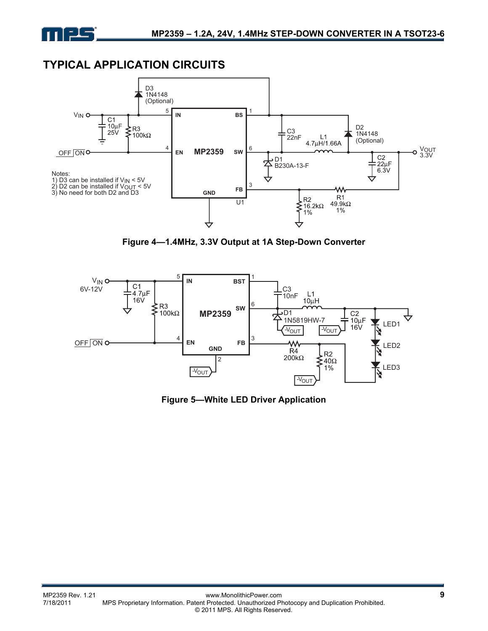

## **TYPICAL APPLICATION CIRCUITS**



**Figure 4—1.4MHz, 3.3V Output at 1A Step-Down Converter** 



**Figure 5—White LED Driver Application**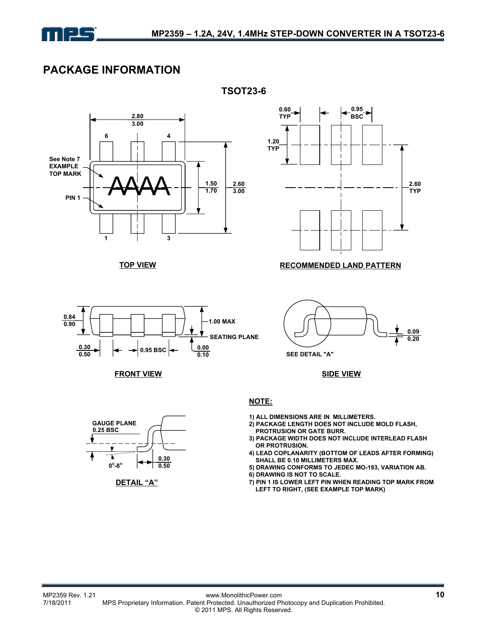

## **PACKAGE INFORMATION**



**TSOT23-6**